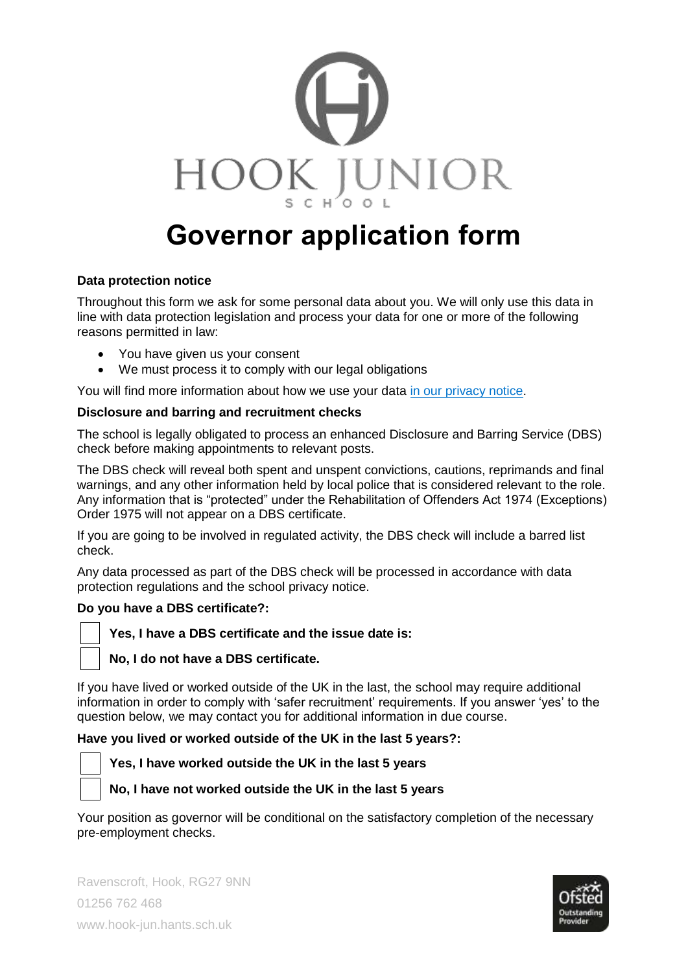

# **Governor application form**

### **Data protection notice**

Throughout this form we ask for some personal data about you. We will only use this data in line with data protection legislation and process your data for one or more of the following reasons permitted in law:

- You have given us your consent
- We must process it to comply with our legal obligations

You will find more information about how we use your data [in our privacy notice.](https://www.hook-jun.hants.sch.uk/index.php/data-protection-privacy-notice)

### **Disclosure and barring and recruitment checks**

The school is legally obligated to process an enhanced Disclosure and Barring Service (DBS) check before making appointments to relevant posts.

The DBS check will reveal both spent and unspent convictions, cautions, reprimands and final warnings, and any other information held by local police that is considered relevant to the role. Any information that is "protected" under the Rehabilitation of Offenders Act 1974 (Exceptions) Order 1975 will not appear on a DBS certificate.

If you are going to be involved in regulated activity, the DBS check will include a barred list check.

Any data processed as part of the DBS check will be processed in accordance with data protection regulations and the school privacy notice.

#### **Do you have a DBS certificate?:**



### **Yes, I have a DBS certificate and the issue date is:**

#### **No, I do not have a DBS certificate.**

If you have lived or worked outside of the UK in the last, the school may require additional information in order to comply with 'safer recruitment' requirements. If you answer 'yes' to the question below, we may contact you for additional information in due course.

#### **Have you lived or worked outside of the UK in the last 5 years?:**



#### **Yes, I have worked outside the UK in the last 5 years**

**No, I have not worked outside the UK in the last 5 years**

Your position as governor will be conditional on the satisfactory completion of the necessary pre-employment checks.

Ravenscroft, Hook, RG27 9NN 01256 762 468 www.hook-jun.hants.sch.uk

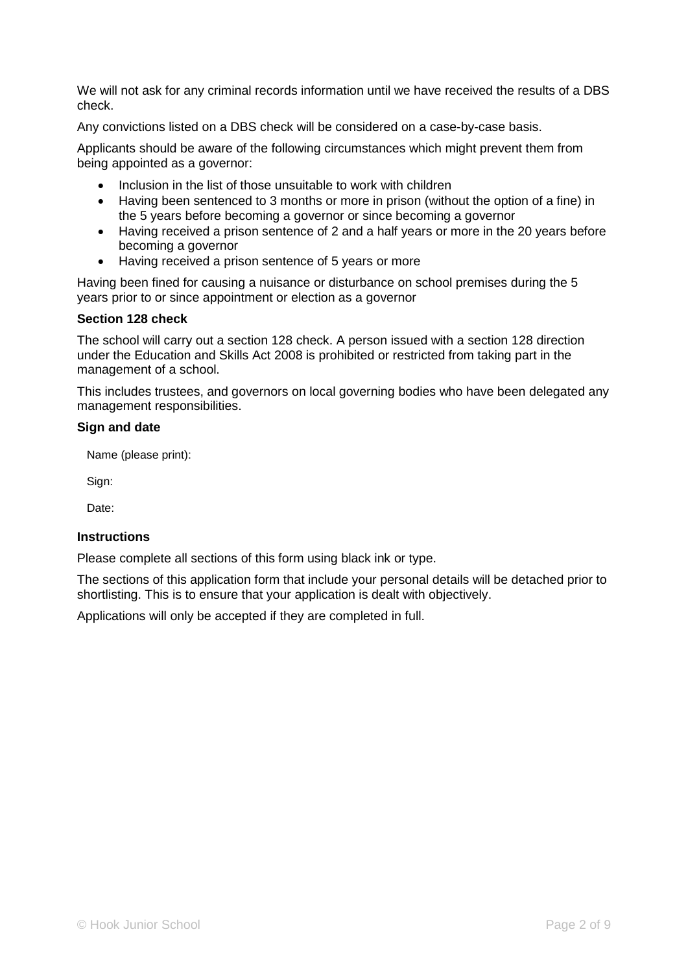We will not ask for any criminal records information until we have received the results of a DBS check.

Any convictions listed on a DBS check will be considered on a case-by-case basis.

Applicants should be aware of the following circumstances which might prevent them from being appointed as a governor:

- Inclusion in the list of those unsuitable to work with children
- Having been sentenced to 3 months or more in prison (without the option of a fine) in the 5 years before becoming a governor or since becoming a governor
- Having received a prison sentence of 2 and a half years or more in the 20 years before becoming a governor
- Having received a prison sentence of 5 years or more

Having been fined for causing a nuisance or disturbance on school premises during the 5 years prior to or since appointment or election as a governor

#### **Section 128 check**

The school will carry out a section 128 check. A person issued with a section 128 direction under the Education and Skills Act 2008 is prohibited or restricted from taking part in the management of a school.

This includes trustees, and governors on local governing bodies who have been delegated any management responsibilities.

#### **Sign and date**

Name (please print):

Sign:

Date:

#### **Instructions**

Please complete all sections of this form using black ink or type.

The sections of this application form that include your personal details will be detached prior to shortlisting. This is to ensure that your application is dealt with objectively.

Applications will only be accepted if they are completed in full.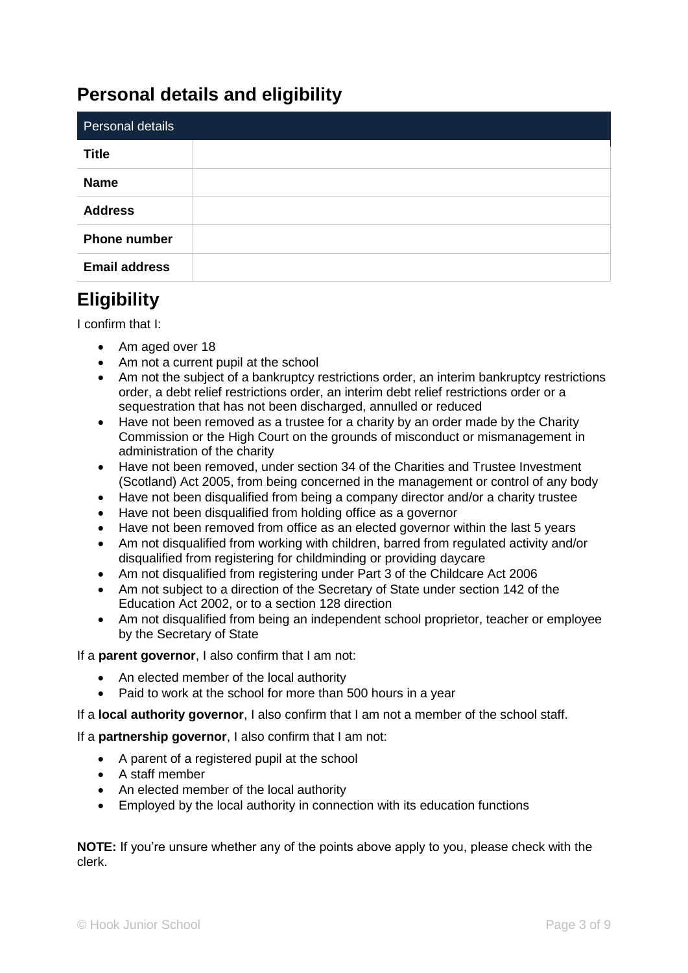# **Personal details and eligibility**

| Personal details     |  |
|----------------------|--|
| <b>Title</b>         |  |
| <b>Name</b>          |  |
| <b>Address</b>       |  |
| <b>Phone number</b>  |  |
| <b>Email address</b> |  |

### **Eligibility**

I confirm that I:

- Am aged over 18
- Am not a current pupil at the school
- Am not the subject of a bankruptcy restrictions order, an interim bankruptcy restrictions order, a debt relief restrictions order, an interim debt relief restrictions order or a sequestration that has not been discharged, annulled or reduced
- Have not been removed as a trustee for a charity by an order made by the Charity Commission or the High Court on the grounds of misconduct or mismanagement in administration of the charity
- Have not been removed, under section 34 of the Charities and Trustee Investment (Scotland) Act 2005, from being concerned in the management or control of any body
- Have not been disqualified from being a company director and/or a charity trustee
- Have not been disqualified from holding office as a governor
- Have not been removed from office as an elected governor within the last 5 years
- Am not disqualified from working with children, barred from regulated activity and/or disqualified from registering for childminding or providing daycare
- Am not disqualified from registering under Part 3 of the Childcare Act 2006
- Am not subject to a direction of the Secretary of State under section 142 of the Education Act 2002, or to a section 128 direction
- Am not disqualified from being an independent school proprietor, teacher or employee by the Secretary of State

If a **parent governor**, I also confirm that I am not:

- An elected member of the local authority
- Paid to work at the school for more than 500 hours in a year

If a **local authority governor**, I also confirm that I am not a member of the school staff.

If a **partnership governor**, I also confirm that I am not:

- A parent of a registered pupil at the school
- A staff member
- An elected member of the local authority
- Employed by the local authority in connection with its education functions

**NOTE:** If you're unsure whether any of the points above apply to you, please check with the clerk.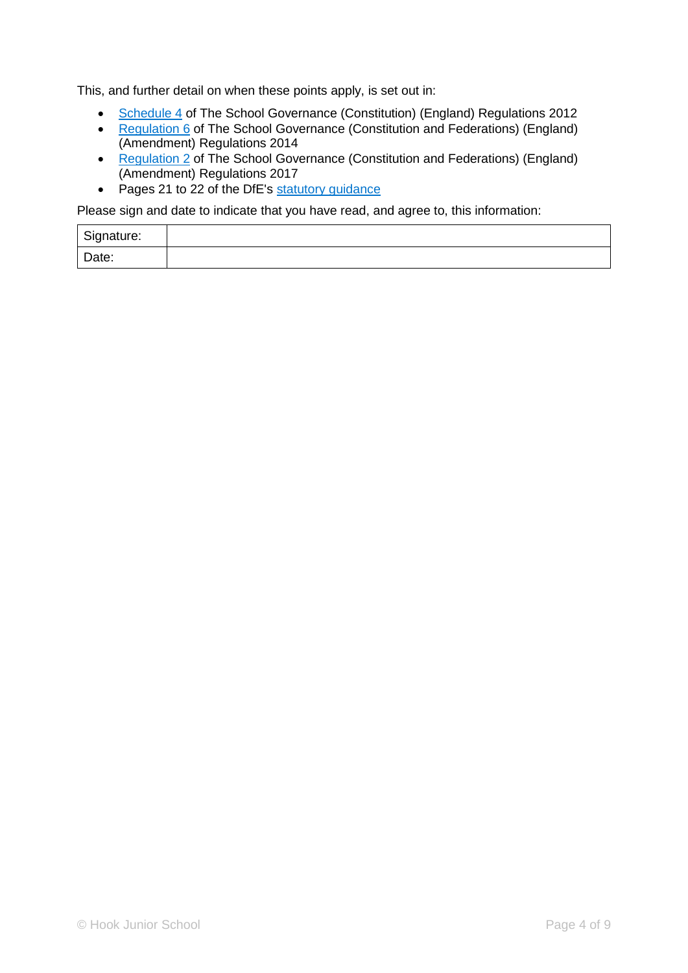This, and further detail on when these points apply, is set out in:

- [Schedule 4](http://www.legislation.gov.uk/uksi/2012/1034/schedule/4/made) of The School Governance (Constitution) (England) Regulations 2012
- [Regulation 6](https://www.legislation.gov.uk/uksi/2014/1257/regulation/6/made) of The School Governance (Constitution and Federations) (England) (Amendment) Regulations 2014
- [Regulation 2](https://www.legislation.gov.uk/uksi/2017/487/regulation/2/made) of The School Governance (Constitution and Federations) (England) (Amendment) Regulations 2017
- Pages 21 to 22 of the DfE's [statutory guidance](https://www.gov.uk/government/publications/constitution-of-governing-bodies-of-maintained-schools)

Please sign and date to indicate that you have read, and agree to, this information:

| Signature: |  |
|------------|--|
| Date:      |  |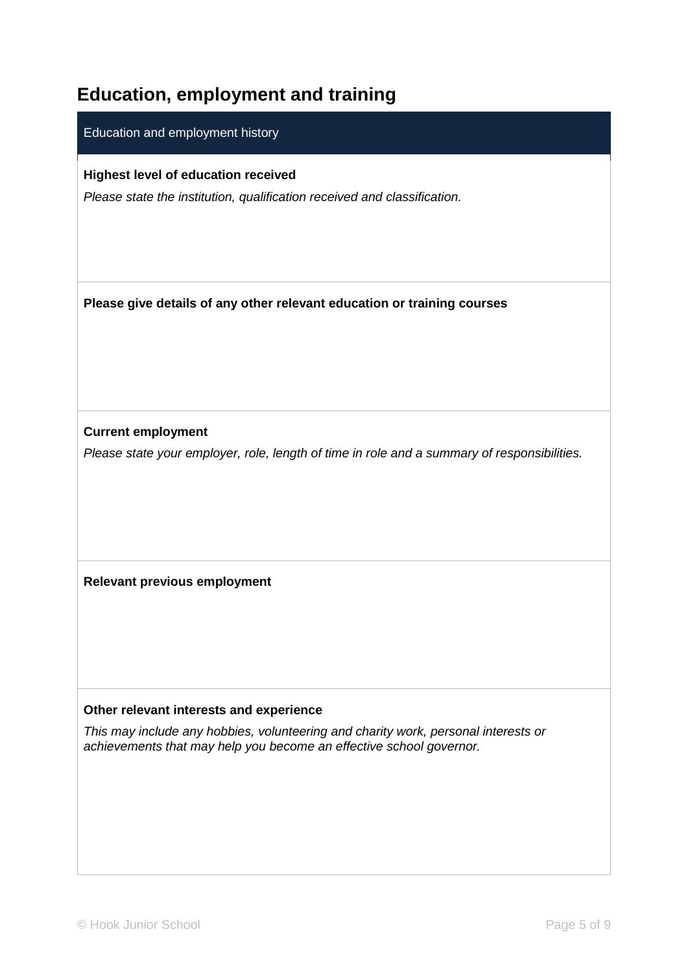# **Education, employment and training**

#### Education and employment history

**Highest level of education received**

*Please state the institution, qualification received and classification.*

**Please give details of any other relevant education or training courses**

**Current employment** 

*Please state your employer, role, length of time in role and a summary of responsibilities.* 

**Relevant previous employment**

#### **Other relevant interests and experience**

*This may include any hobbies, volunteering and charity work, personal interests or achievements that may help you become an effective school governor.*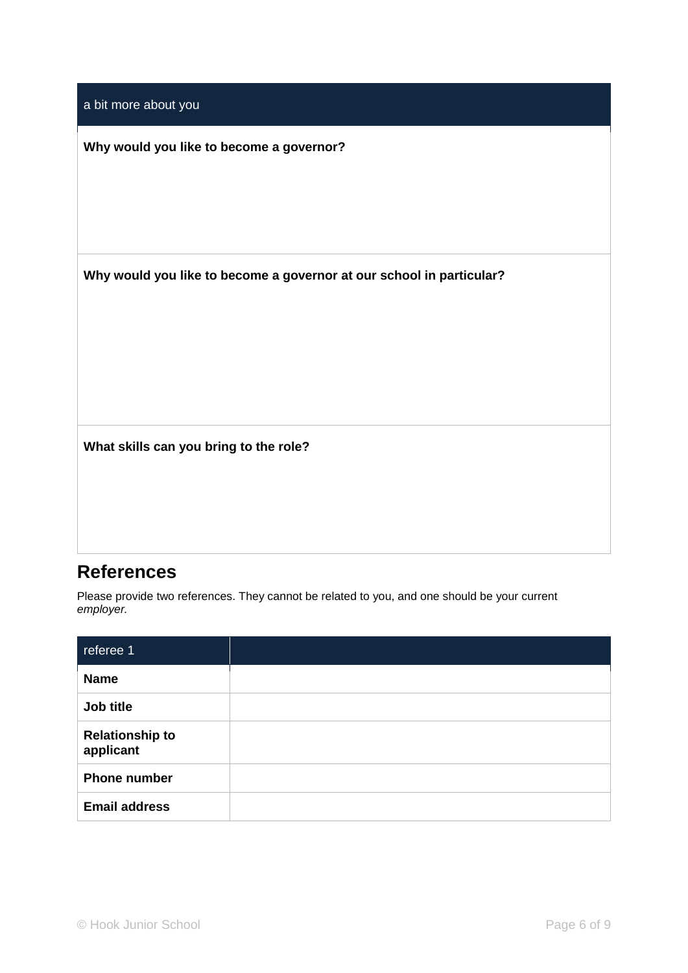| a bit more about you                                                 |
|----------------------------------------------------------------------|
| Why would you like to become a governor?                             |
|                                                                      |
|                                                                      |
| Why would you like to become a governor at our school in particular? |
|                                                                      |
|                                                                      |
|                                                                      |
| What skills can you bring to the role?                               |
|                                                                      |
|                                                                      |

### **References**

Please provide two references. They cannot be related to you, and one should be your current *employer.* 

| referee 1                           |  |
|-------------------------------------|--|
| <b>Name</b>                         |  |
| Job title                           |  |
| <b>Relationship to</b><br>applicant |  |
| <b>Phone number</b>                 |  |
| <b>Email address</b>                |  |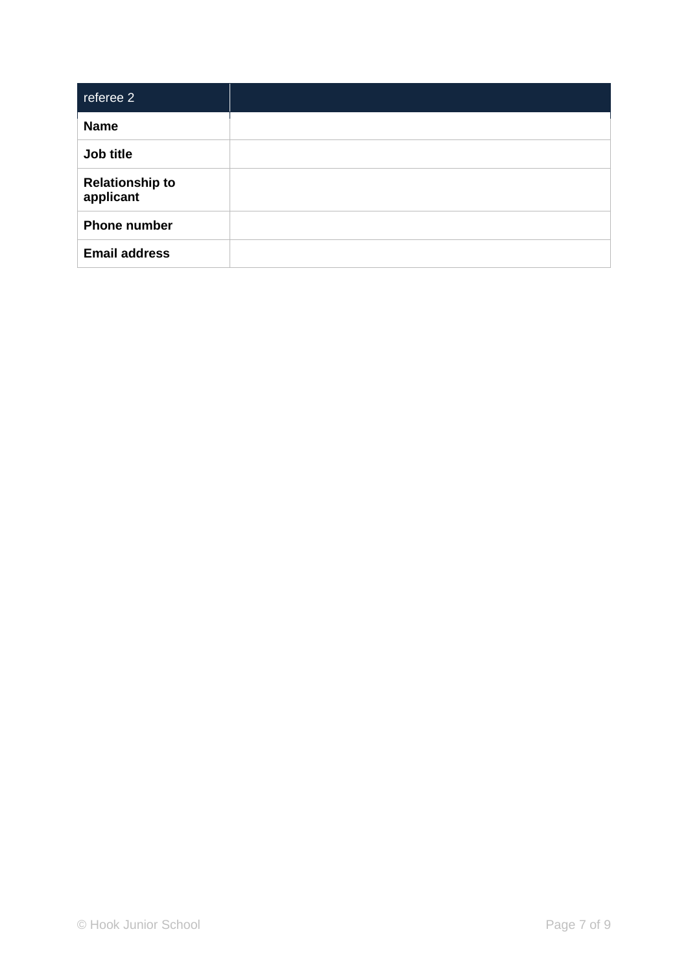| referee 2                           |  |
|-------------------------------------|--|
| <b>Name</b>                         |  |
| Job title                           |  |
| <b>Relationship to</b><br>applicant |  |
| <b>Phone number</b>                 |  |
| <b>Email address</b>                |  |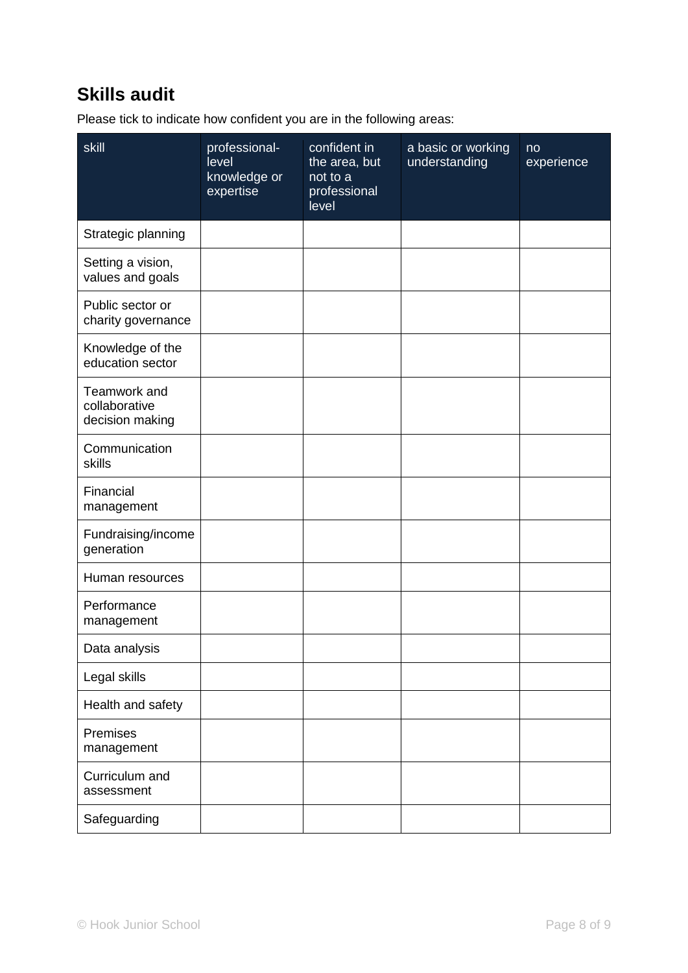# **Skills audit**

Please tick to indicate how confident you are in the following areas:

| skill                                            | professional-<br>level<br>knowledge or<br>expertise | confident in<br>the area, but<br>not to a<br>professional<br>level | a basic or working<br>understanding | no<br>experience |
|--------------------------------------------------|-----------------------------------------------------|--------------------------------------------------------------------|-------------------------------------|------------------|
| Strategic planning                               |                                                     |                                                                    |                                     |                  |
| Setting a vision,<br>values and goals            |                                                     |                                                                    |                                     |                  |
| Public sector or<br>charity governance           |                                                     |                                                                    |                                     |                  |
| Knowledge of the<br>education sector             |                                                     |                                                                    |                                     |                  |
| Teamwork and<br>collaborative<br>decision making |                                                     |                                                                    |                                     |                  |
| Communication<br>skills                          |                                                     |                                                                    |                                     |                  |
| Financial<br>management                          |                                                     |                                                                    |                                     |                  |
| Fundraising/income<br>generation                 |                                                     |                                                                    |                                     |                  |
| Human resources                                  |                                                     |                                                                    |                                     |                  |
| Performance<br>management                        |                                                     |                                                                    |                                     |                  |
| Data analysis                                    |                                                     |                                                                    |                                     |                  |
| Legal skills                                     |                                                     |                                                                    |                                     |                  |
| Health and safety                                |                                                     |                                                                    |                                     |                  |
| Premises<br>management                           |                                                     |                                                                    |                                     |                  |
| Curriculum and<br>assessment                     |                                                     |                                                                    |                                     |                  |
| Safeguarding                                     |                                                     |                                                                    |                                     |                  |